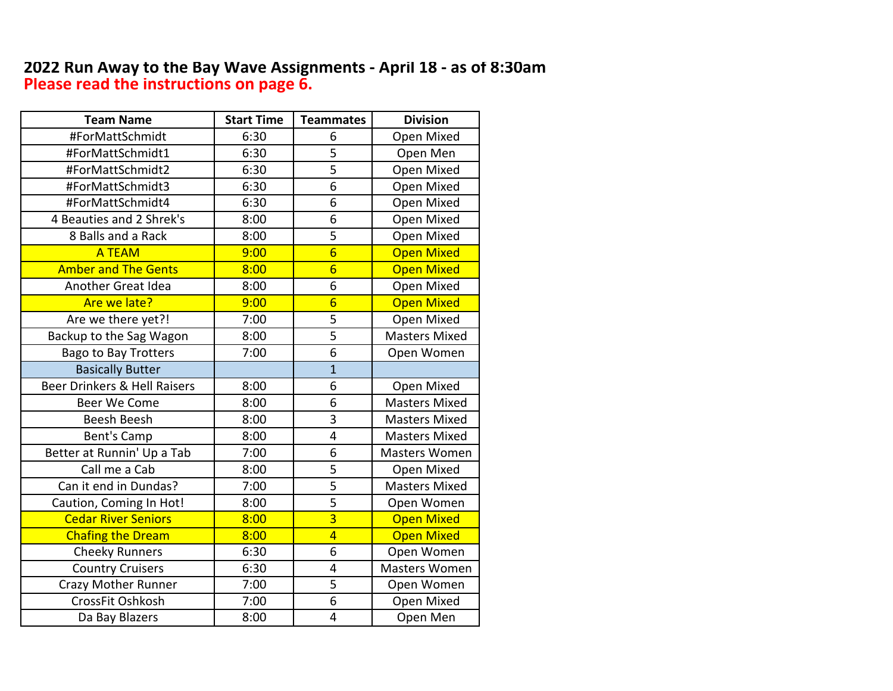## **2022 Run Away to the Bay Wave Assignments - April 18 - as of 8:30am Please read the instructions on page 6.**

| <b>Team Name</b>             | <b>Start Time</b> | <b>Teammates</b>        | <b>Division</b>      |
|------------------------------|-------------------|-------------------------|----------------------|
| #ForMattSchmidt              | 6:30              | 6                       | Open Mixed           |
| #ForMattSchmidt1             | 6:30              | 5                       | Open Men             |
| #ForMattSchmidt2             | 6:30              | $\overline{5}$          | Open Mixed           |
| #ForMattSchmidt3             | 6:30              | 6                       | Open Mixed           |
| #ForMattSchmidt4             | 6:30              | 6                       | Open Mixed           |
| 4 Beauties and 2 Shrek's     | 8:00              | 6                       | Open Mixed           |
| 8 Balls and a Rack           | 8:00              | 5                       | Open Mixed           |
| <b>A TEAM</b>                | 9:00              | $6\overline{6}$         | <b>Open Mixed</b>    |
| <b>Amber and The Gents</b>   | 8:00              | $6\overline{6}$         | <b>Open Mixed</b>    |
| Another Great Idea           | 8:00              | 6                       | Open Mixed           |
| Are we late?                 | 9:00              | $6\overline{6}$         | <b>Open Mixed</b>    |
| Are we there yet?!           | 7:00              | 5                       | Open Mixed           |
| Backup to the Sag Wagon      | 8:00              | $\overline{5}$          | <b>Masters Mixed</b> |
| <b>Bago to Bay Trotters</b>  | 7:00              | 6                       | Open Women           |
| <b>Basically Butter</b>      |                   | $\mathbf{1}$            |                      |
| Beer Drinkers & Hell Raisers | 8:00              | 6                       | Open Mixed           |
| Beer We Come                 | 8:00              | 6                       | <b>Masters Mixed</b> |
| <b>Beesh Beesh</b>           | 8:00              | 3                       | <b>Masters Mixed</b> |
| Bent's Camp                  | 8:00              | $\overline{\mathbf{4}}$ | <b>Masters Mixed</b> |
| Better at Runnin' Up a Tab   | 7:00              | 6                       | <b>Masters Women</b> |
| Call me a Cab                | 8:00              | 5                       | Open Mixed           |
| Can it end in Dundas?        | 7:00              | 5                       | <b>Masters Mixed</b> |
| Caution, Coming In Hot!      | 8:00              | 5                       | Open Women           |
| <b>Cedar River Seniors</b>   | 8:00              | $\overline{3}$          | <b>Open Mixed</b>    |
| <b>Chafing the Dream</b>     | 8:00              | $\overline{4}$          | <b>Open Mixed</b>    |
| <b>Cheeky Runners</b>        | 6:30              | 6                       | Open Women           |
| <b>Country Cruisers</b>      | 6:30              | $\overline{\mathbf{4}}$ | Masters Women        |
| <b>Crazy Mother Runner</b>   | 7:00              | 5                       | Open Women           |
| CrossFit Oshkosh             | 7:00              | 6                       | Open Mixed           |
| Da Bay Blazers               | 8:00              | $\overline{\mathbf{4}}$ | Open Men             |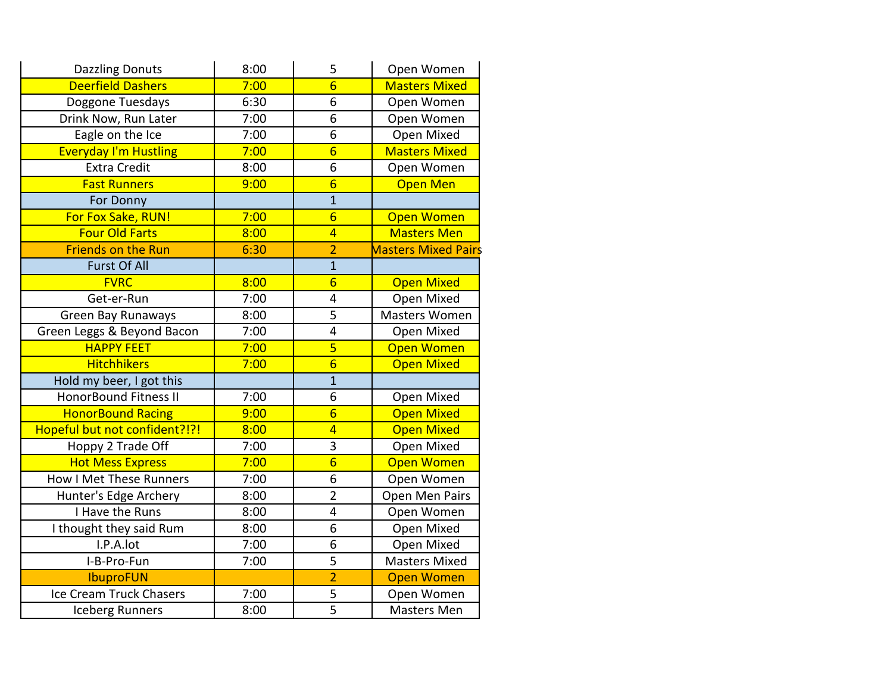| <b>Dazzling Donuts</b>         | 8:00 | 5               | Open Women                 |
|--------------------------------|------|-----------------|----------------------------|
| <b>Deerfield Dashers</b>       | 7:00 | $\overline{6}$  | <b>Masters Mixed</b>       |
| Doggone Tuesdays               | 6:30 | 6               | Open Women                 |
| Drink Now, Run Later           | 7:00 | 6               | Open Women                 |
| Eagle on the Ice               | 7:00 | $\overline{6}$  | Open Mixed                 |
| <b>Everyday I'm Hustling</b>   | 7:00 | $6\overline{6}$ | <b>Masters Mixed</b>       |
| <b>Extra Credit</b>            | 8:00 | 6               | Open Women                 |
| <b>Fast Runners</b>            | 9:00 | $6\overline{6}$ | <b>Open Men</b>            |
| For Donny                      |      | $\overline{1}$  |                            |
| For Fox Sake, RUN!             | 7:00 | $\overline{6}$  | <b>Open Women</b>          |
| <b>Four Old Farts</b>          | 8:00 | $\overline{4}$  | <b>Masters Men</b>         |
| <b>Friends on the Run</b>      | 6:30 | $\overline{2}$  | <b>Masters Mixed Pairs</b> |
| <b>Furst Of All</b>            |      | $\overline{1}$  |                            |
| <b>FVRC</b>                    | 8:00 | $\overline{6}$  | <b>Open Mixed</b>          |
| Get-er-Run                     | 7:00 | 4               | Open Mixed                 |
| <b>Green Bay Runaways</b>      | 8:00 | $\overline{5}$  | <b>Masters Women</b>       |
| Green Leggs & Beyond Bacon     | 7:00 | 4               | Open Mixed                 |
| <b>HAPPY FEET</b>              | 7:00 | 5               | <b>Open Women</b>          |
| <b>Hitchhikers</b>             | 7:00 | $\overline{6}$  | <b>Open Mixed</b>          |
| Hold my beer, I got this       |      | $\overline{1}$  |                            |
| <b>HonorBound Fitness II</b>   | 7:00 | 6               | Open Mixed                 |
| <b>HonorBound Racing</b>       | 9:00 | $6\overline{6}$ | <b>Open Mixed</b>          |
| Hopeful but not confident?!?!  | 8:00 | $\overline{4}$  | <b>Open Mixed</b>          |
| Hoppy 2 Trade Off              | 7:00 | $\overline{3}$  | Open Mixed                 |
| <b>Hot Mess Express</b>        | 7:00 | $\overline{6}$  | <b>Open Women</b>          |
| <b>How I Met These Runners</b> | 7:00 | 6               | Open Women                 |
| Hunter's Edge Archery          | 8:00 | $\overline{2}$  | Open Men Pairs             |
| I Have the Runs                | 8:00 | 4               | Open Women                 |
| I thought they said Rum        | 8:00 | 6               | Open Mixed                 |
| I.P.A.lot                      | 7:00 | 6               | Open Mixed                 |
| I-B-Pro-Fun                    | 7:00 | 5               | <b>Masters Mixed</b>       |
| <b>IbuproFUN</b>               |      | $\overline{2}$  | <b>Open Women</b>          |
| Ice Cream Truck Chasers        | 7:00 | 5               | Open Women                 |
| <b>Iceberg Runners</b>         | 8:00 | $\overline{5}$  | <b>Masters Men</b>         |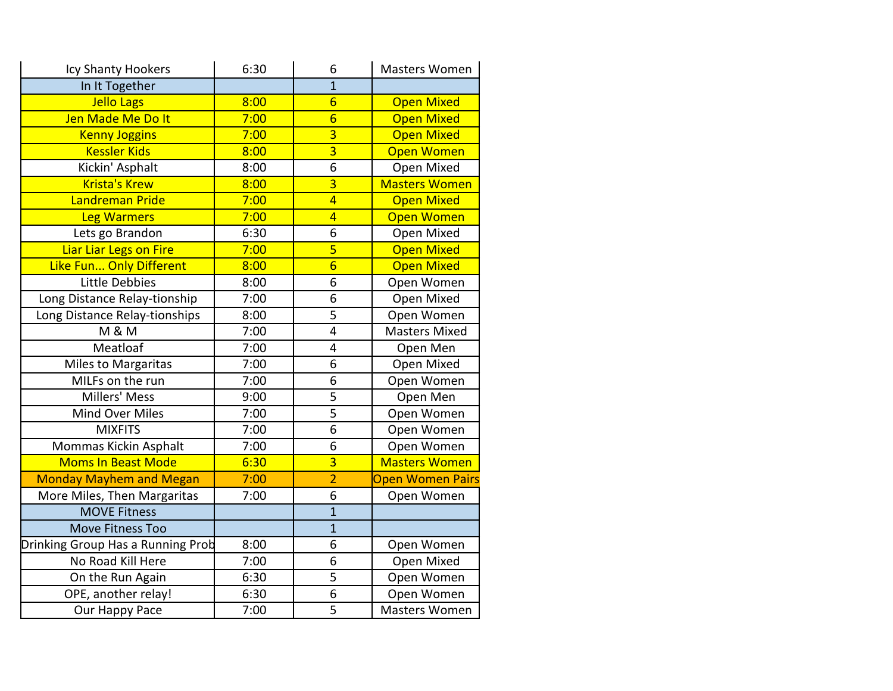| Icy Shanty Hookers                | 6:30 | 6               | <b>Masters Women</b> |
|-----------------------------------|------|-----------------|----------------------|
| In It Together                    |      | $\overline{1}$  |                      |
| Jello Lags                        | 8:00 | $6\overline{6}$ | <b>Open Mixed</b>    |
| Jen Made Me Do It                 | 7:00 | $\overline{6}$  | <b>Open Mixed</b>    |
| <b>Kenny Joggins</b>              | 7:00 | $\overline{3}$  | <b>Open Mixed</b>    |
| <b>Kessler Kids</b>               | 8:00 | $\overline{3}$  | <b>Open Women</b>    |
| Kickin' Asphalt                   | 8:00 | $\overline{6}$  | Open Mixed           |
| <b>Krista's Krew</b>              | 8:00 | $\overline{3}$  | <b>Masters Women</b> |
| Landreman Pride                   | 7:00 | $\overline{4}$  | <b>Open Mixed</b>    |
| <b>Leg Warmers</b>                | 7:00 | $\overline{4}$  | <b>Open Women</b>    |
| Lets go Brandon                   | 6:30 | $\overline{6}$  | Open Mixed           |
| Liar Liar Legs on Fire            | 7:00 | 5               | <b>Open Mixed</b>    |
| Like Fun Only Different           | 8:00 | $\overline{6}$  | <b>Open Mixed</b>    |
| <b>Little Debbies</b>             | 8:00 | 6               | Open Women           |
| Long Distance Relay-tionship      | 7:00 | 6               | Open Mixed           |
| Long Distance Relay-tionships     | 8:00 | $\overline{5}$  | Open Women           |
| <b>M &amp; M</b>                  | 7:00 | 4               | <b>Masters Mixed</b> |
| Meatloaf                          | 7:00 | 4               | Open Men             |
| Miles to Margaritas               | 7:00 | 6               | Open Mixed           |
| MILFs on the run                  | 7:00 | $\overline{6}$  | Open Women           |
| Millers' Mess                     | 9:00 | $\overline{5}$  | Open Men             |
| Mind Over Miles                   | 7:00 | $\overline{5}$  | Open Women           |
| <b>MIXFITS</b>                    | 7:00 | 6               | Open Women           |
| Mommas Kickin Asphalt             | 7:00 | 6               | Open Women           |
| <b>Moms In Beast Mode</b>         | 6:30 | $\overline{3}$  | <b>Masters Women</b> |
| <b>Monday Mayhem and Megan</b>    | 7:00 | $\overline{2}$  | Open Women Pairs     |
| More Miles, Then Margaritas       | 7:00 | $\overline{6}$  | Open Women           |
| <b>MOVE Fitness</b>               |      | $\overline{1}$  |                      |
| <b>Move Fitness Too</b>           |      | $\overline{1}$  |                      |
| Drinking Group Has a Running Prob | 8:00 | 6               | Open Women           |
| No Road Kill Here                 | 7:00 | $\overline{6}$  | Open Mixed           |
| On the Run Again                  | 6:30 | 5               | Open Women           |
| OPE, another relay!               | 6:30 | 6               | Open Women           |
| Our Happy Pace                    | 7:00 | $\overline{5}$  | <b>Masters Women</b> |
|                                   |      |                 |                      |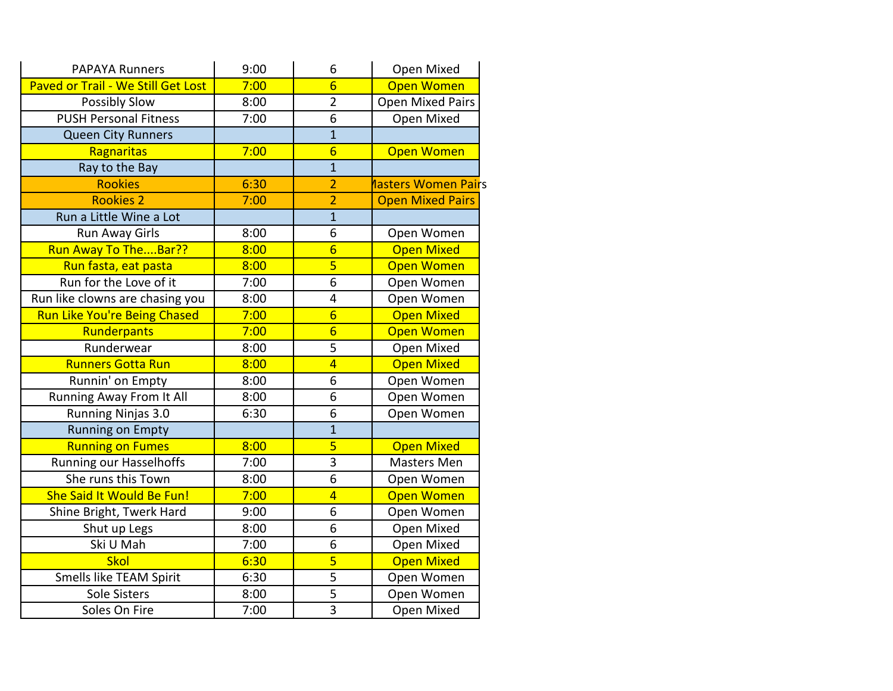| <b>PAPAYA Runners</b>              | 9:00 | 6               | Open Mixed                  |
|------------------------------------|------|-----------------|-----------------------------|
| Paved or Trail - We Still Get Lost | 7:00 | $\overline{6}$  | <b>Open Women</b>           |
| Possibly Slow                      | 8:00 | $\overline{2}$  | <b>Open Mixed Pairs</b>     |
| <b>PUSH Personal Fitness</b>       | 7:00 | 6               | Open Mixed                  |
| Queen City Runners                 |      | $\overline{1}$  |                             |
| Ragnaritas                         | 7:00 | $6\overline{6}$ | <b>Open Women</b>           |
| Ray to the Bay                     |      | $\mathbf{1}$    |                             |
| <b>Rookies</b>                     | 6:30 | $\overline{2}$  | <b>Nasters Women Pair</b> s |
| <b>Rookies 2</b>                   | 7:00 | $\overline{2}$  | <b>Open Mixed Pairs</b>     |
| Run a Little Wine a Lot            |      | $\overline{1}$  |                             |
| Run Away Girls                     | 8:00 | 6               | Open Women                  |
| Run Away To TheBar??               | 8:00 | $6\overline{6}$ | <b>Open Mixed</b>           |
| Run fasta, eat pasta               | 8:00 | $\overline{5}$  | <b>Open Women</b>           |
| Run for the Love of it             | 7:00 | 6               | Open Women                  |
| Run like clowns are chasing you    | 8:00 | 4               | Open Women                  |
| Run Like You're Being Chased       | 7:00 | $6\overline{6}$ | <b>Open Mixed</b>           |
| Runderpants                        | 7:00 | $\overline{6}$  | <b>Open Women</b>           |
| Runderwear                         | 8:00 | 5               | Open Mixed                  |
| <b>Runners Gotta Run</b>           | 8:00 | $\overline{4}$  | <b>Open Mixed</b>           |
| Runnin' on Empty                   | 8:00 | 6               | Open Women                  |
| Running Away From It All           | 8:00 | 6               | Open Women                  |
| Running Ninjas 3.0                 | 6:30 | 6               | Open Women                  |
| <b>Running on Empty</b>            |      | $\mathbf{1}$    |                             |
| <b>Running on Fumes</b>            | 8:00 | $\overline{5}$  | <b>Open Mixed</b>           |
| <b>Running our Hasselhoffs</b>     | 7:00 | 3               | <b>Masters Men</b>          |
| She runs this Town                 | 8:00 | 6               | Open Women                  |
| She Said It Would Be Fun!          | 7:00 | $\overline{4}$  | Open Women                  |
| Shine Bright, Twerk Hard           | 9:00 | 6               | Open Women                  |
| Shut up Legs                       | 8:00 | 6               | Open Mixed                  |
| Ski U Mah                          | 7:00 | 6               | Open Mixed                  |
| Skol                               | 6:30 | 5               | <b>Open Mixed</b>           |
| Smells like TEAM Spirit            | 6:30 | 5               | Open Women                  |
| Sole Sisters                       | 8:00 | 5               | Open Women                  |
| Soles On Fire                      | 7:00 | $\overline{3}$  | Open Mixed                  |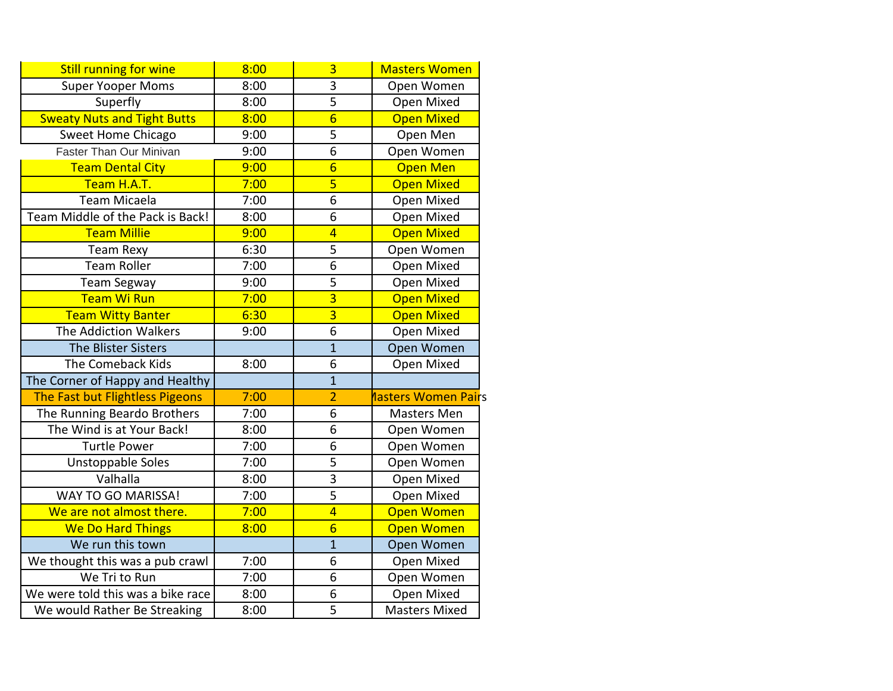| <b>Still running for wine</b>      | 8:00 | $\overline{3}$  | <b>Masters Women</b> |
|------------------------------------|------|-----------------|----------------------|
| <b>Super Yooper Moms</b>           | 8:00 | 3               | Open Women           |
| Superfly                           | 8:00 | 5               | Open Mixed           |
| <b>Sweaty Nuts and Tight Butts</b> | 8:00 | $\overline{6}$  | <b>Open Mixed</b>    |
| <b>Sweet Home Chicago</b>          | 9:00 | 5               | Open Men             |
| Faster Than Our Minivan            | 9:00 | 6               | Open Women           |
| <b>Team Dental City</b>            | 9:00 | $6\overline{6}$ | <b>Open Men</b>      |
| Team H.A.T.                        | 7:00 | 5               | <b>Open Mixed</b>    |
| <b>Team Micaela</b>                | 7:00 | 6               | Open Mixed           |
| Team Middle of the Pack is Back!   | 8:00 | 6               | Open Mixed           |
| <b>Team Millie</b>                 | 9:00 | $\overline{4}$  | <b>Open Mixed</b>    |
| <b>Team Rexy</b>                   | 6:30 | 5               | Open Women           |
| <b>Team Roller</b>                 | 7:00 | 6               | Open Mixed           |
| <b>Team Segway</b>                 | 9:00 | 5               | Open Mixed           |
| <b>Team Wi Run</b>                 | 7:00 | $\overline{3}$  | <b>Open Mixed</b>    |
| <b>Team Witty Banter</b>           | 6:30 | $\overline{3}$  | <b>Open Mixed</b>    |
| The Addiction Walkers              | 9:00 | 6               | Open Mixed           |
| <b>The Blister Sisters</b>         |      | $\mathbf{1}$    | Open Women           |
| The Comeback Kids                  | 8:00 | 6               | Open Mixed           |
| The Corner of Happy and Healthy    |      | $\overline{1}$  |                      |
| The Fast but Flightless Pigeons    | 7:00 | $\overline{2}$  | nasters Women Pairs  |
| The Running Beardo Brothers        | 7:00 | 6               | Masters Men          |
| The Wind is at Your Back!          | 8:00 | 6               | Open Women           |
| <b>Turtle Power</b>                | 7:00 | 6               | Open Women           |
| <b>Unstoppable Soles</b>           | 7:00 | 5               | Open Women           |
| Valhalla                           | 8:00 | 3               | Open Mixed           |
| WAY TO GO MARISSA!                 | 7:00 | $\overline{5}$  | Open Mixed           |
| We are not almost there.           | 7:00 | $\overline{4}$  | <b>Open Women</b>    |
| <b>We Do Hard Things</b>           | 8:00 | $6\overline{6}$ | <b>Open Women</b>    |
| We run this town                   |      | $\mathbf{1}$    | Open Women           |
| We thought this was a pub crawl    | 7:00 | 6               | Open Mixed           |
| We Tri to Run                      | 7:00 | 6               | Open Women           |
| We were told this was a bike race  | 8:00 | 6               | Open Mixed           |
| We would Rather Be Streaking       | 8:00 | 5               | <b>Masters Mixed</b> |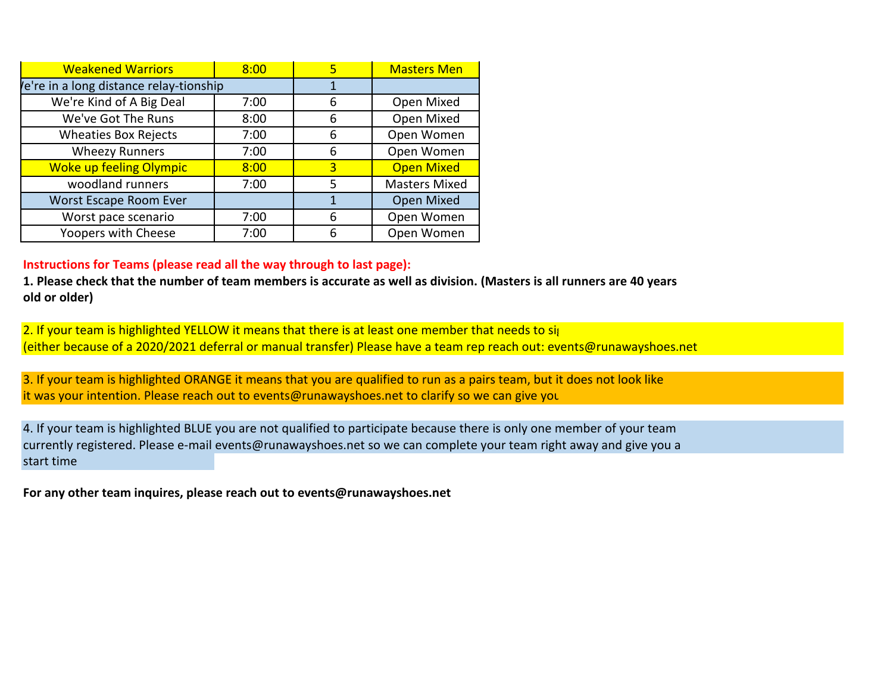| <b>Weakened Warriors</b>               | 8:00 |   | <b>Masters Men</b>   |
|----------------------------------------|------|---|----------------------|
| e're in a long distance relay-tionship |      |   |                      |
| We're Kind of A Big Deal               | 7:00 | 6 | Open Mixed           |
| We've Got The Runs                     | 8:00 | 6 | Open Mixed           |
| <b>Wheaties Box Rejects</b>            | 7:00 | 6 | Open Women           |
| <b>Wheezy Runners</b>                  | 7:00 | 6 | Open Women           |
| <b>Woke up feeling Olympic</b>         | 8:00 | 3 | <b>Open Mixed</b>    |
| woodland runners                       | 7:00 | 5 | <b>Masters Mixed</b> |
| Worst Escape Room Ever                 |      | 1 | Open Mixed           |
| Worst pace scenario                    | 7:00 | 6 | Open Women           |
| Yoopers with Cheese                    | 7:00 | 6 | Open Women           |

## **Instructions for Teams (please read all the way through to last page):**

**old or older) 1. Please check that the number of team members is accurate as well as division. (Masters is all runners are 40 years**

2. If your team is highlighted YELLOW it means that there is at least one member that needs to sign (either because of a 2020/2021 deferral or manual transfer) Please have a team rep reach out: events@runawayshoes.net

3. If your team is highlighted ORANGE it means that you are qualified to run as a pairs team, but it does not look like it was your intention. Please reach out to events@runawayshoes.net to clarify so we can give you

start time 4. If your team is highlighted BLUE you are not qualified to participate because there is only one member of your team currently registered. Please e-mail events@runawayshoes.net so we can complete your team right away and give you a

**For any other team inquires, please reach out to events@runawayshoes.net**